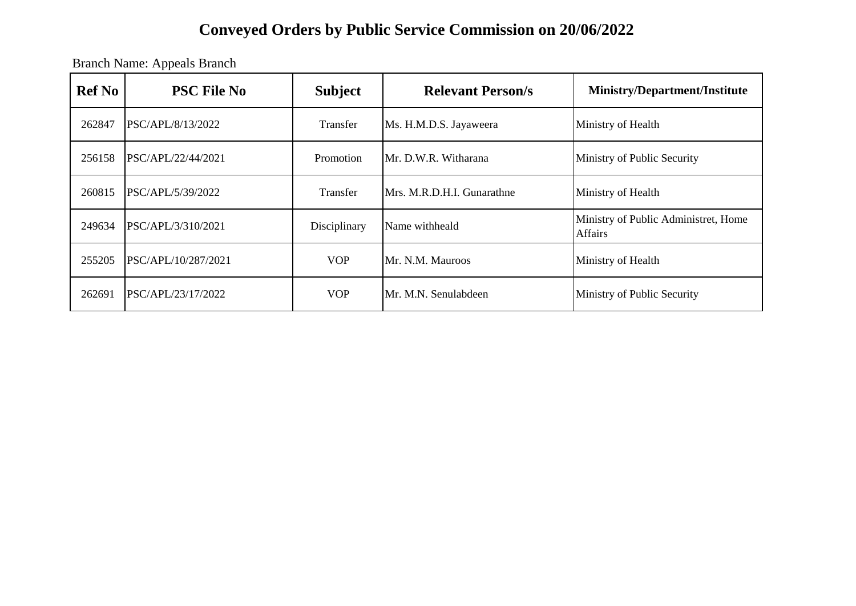Branch Name: Appeals Branch

| <b>Ref No</b> | <b>PSC File No</b>  | <b>Subject</b>  | <b>Relevant Person/s</b>   | <b>Ministry/Department/Institute</b>            |
|---------------|---------------------|-----------------|----------------------------|-------------------------------------------------|
| 262847        | PSC/APL/8/13/2022   | <b>Transfer</b> | Ms. H.M.D.S. Jayaweera     | Ministry of Health                              |
| 256158        | PSC/APL/22/44/2021  | Promotion       | Mr. D.W.R. Witharana       | Ministry of Public Security                     |
| 260815        | PSC/APL/5/39/2022   | Transfer        | Mrs. M.R.D.H.I. Gunarathne | Ministry of Health                              |
| 249634        | PSC/APL/3/310/2021  | Disciplinary    | Name withheald             | Ministry of Public Administret, Home<br>Affairs |
| 255205        | PSC/APL/10/287/2021 | <b>VOP</b>      | Mr. N.M. Mauroos           | Ministry of Health                              |
| 262691        | PSC/APL/23/17/2022  | <b>VOP</b>      | Mr. M.N. Senulabdeen       | Ministry of Public Security                     |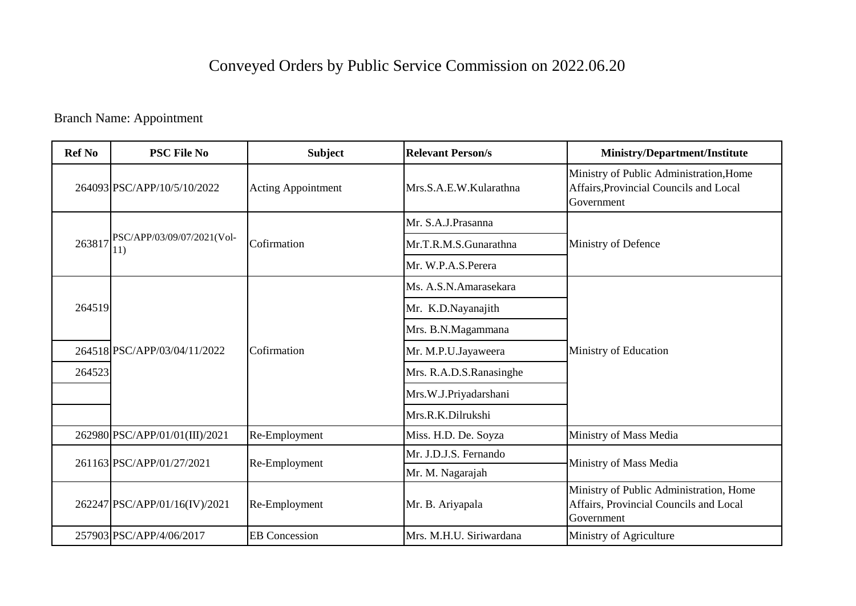Branch Name: Appointment

| <b>Ref No</b> | <b>PSC File No</b>                | <b>Subject</b>            | <b>Relevant Person/s</b> | Ministry/Department/Institute                                                                   |
|---------------|-----------------------------------|---------------------------|--------------------------|-------------------------------------------------------------------------------------------------|
|               | 264093 PSC/APP/10/5/10/2022       | <b>Acting Appointment</b> | Mrs.S.A.E.W.Kularathna   | Ministry of Public Administration, Home<br>Affairs, Provincial Councils and Local<br>Government |
|               |                                   |                           | Mr. S.A.J.Prasanna       |                                                                                                 |
| 263817        | PSC/APP/03/09/07/2021(Vol-<br>11) | Cofirmation               | Mr.T.R.M.S.Gunarathna    | Ministry of Defence                                                                             |
|               |                                   |                           | Mr. W.P.A.S.Perera       |                                                                                                 |
|               |                                   |                           | Ms. A.S.N.Amarasekara    |                                                                                                 |
| 264519        |                                   |                           | Mr. K.D.Nayanajith       |                                                                                                 |
|               |                                   |                           | Mrs. B.N.Magammana       |                                                                                                 |
|               | 264518 PSC/APP/03/04/11/2022      | Cofirmation               | Mr. M.P.U.Jayaweera      | Ministry of Education                                                                           |
| 264523        |                                   |                           | Mrs. R.A.D.S.Ranasinghe  |                                                                                                 |
|               |                                   |                           | Mrs.W.J.Priyadarshani    |                                                                                                 |
|               |                                   |                           | Mrs.R.K.Dilrukshi        |                                                                                                 |
|               | 262980 PSC/APP/01/01(III)/2021    | Re-Employment             | Miss. H.D. De. Soyza     | Ministry of Mass Media                                                                          |
|               | 261163 PSC/APP/01/27/2021         | Re-Employment             | Mr. J.D.J.S. Fernando    | Ministry of Mass Media                                                                          |
|               |                                   |                           | Mr. M. Nagarajah         |                                                                                                 |
|               | 262247 PSC/APP/01/16(IV)/2021     | Re-Employment             | Mr. B. Ariyapala         | Ministry of Public Administration, Home<br>Affairs, Provincial Councils and Local<br>Government |
|               | 257903 PSC/APP/4/06/2017          | <b>EB</b> Concession      | Mrs. M.H.U. Siriwardana  | Ministry of Agriculture                                                                         |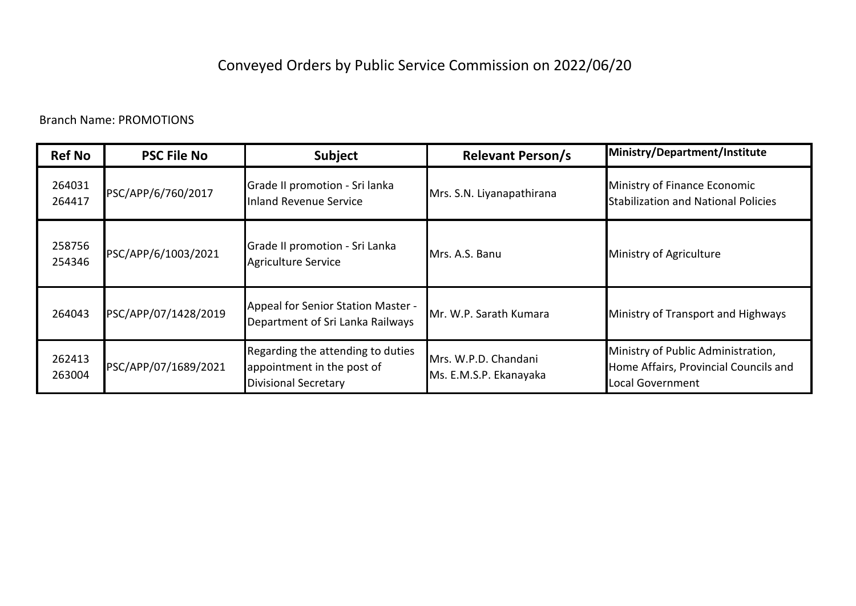| <b>Ref No</b>    | <b>PSC File No</b>   | <b>Subject</b>                                                                                 | <b>Relevant Person/s</b>                       | Ministry/Department/Institute                                                                   |
|------------------|----------------------|------------------------------------------------------------------------------------------------|------------------------------------------------|-------------------------------------------------------------------------------------------------|
| 264031<br>264417 | PSC/APP/6/760/2017   | Grade II promotion - Sri lanka<br>Inland Revenue Service                                       | Mrs. S.N. Liyanapathirana                      | Ministry of Finance Economic<br><b>Stabilization and National Policies</b>                      |
| 258756<br>254346 | PSC/APP/6/1003/2021  | Grade II promotion - Sri Lanka<br>Agriculture Service                                          | Mrs. A.S. Banu                                 | Ministry of Agriculture                                                                         |
| 264043           | PSC/APP/07/1428/2019 | Appeal for Senior Station Master -<br>Department of Sri Lanka Railways                         | Mr. W.P. Sarath Kumara                         | Ministry of Transport and Highways                                                              |
| 262413<br>263004 | PSC/APP/07/1689/2021 | Regarding the attending to duties<br>appointment in the post of<br><b>Divisional Secretary</b> | Mrs. W.P.D. Chandani<br>Ms. E.M.S.P. Ekanayaka | Ministry of Public Administration,<br>Home Affairs, Provincial Councils and<br>Local Government |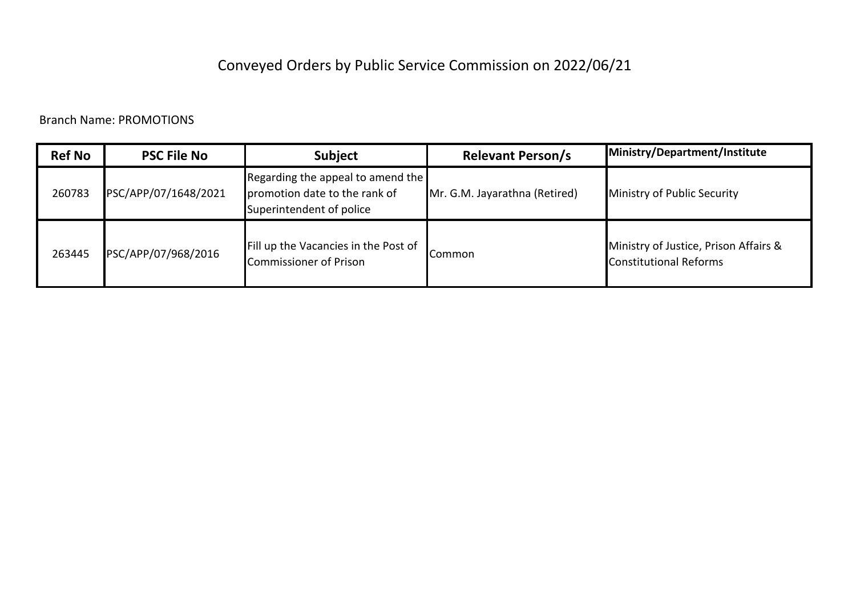| <b>Ref No</b> | <b>PSC File No</b>   | <b>Subject</b>                                                                                 | <b>Relevant Person/s</b>      | Ministry/Department/Institute                                          |
|---------------|----------------------|------------------------------------------------------------------------------------------------|-------------------------------|------------------------------------------------------------------------|
| 260783        | PSC/APP/07/1648/2021 | Regarding the appeal to amend the<br>promotion date to the rank of<br>Superintendent of police | Mr. G.M. Jayarathna (Retired) | Ministry of Public Security                                            |
| 263445        | PSC/APP/07/968/2016  | Fill up the Vacancies in the Post of<br>Commissioner of Prison                                 | .Common                       | Ministry of Justice, Prison Affairs &<br><b>Constitutional Reforms</b> |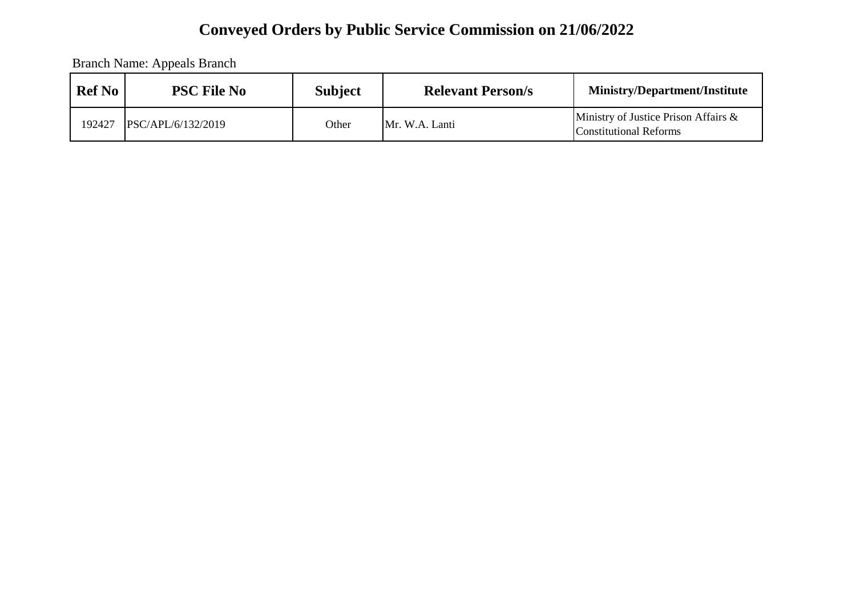Branch Name: Appeals Branch

| <b>Ref No</b> | <b>PSC File No</b> | <b>Subject</b> | <b>Relevant Person/s</b> | <b>Ministry/Department/Institute</b>                              |
|---------------|--------------------|----------------|--------------------------|-------------------------------------------------------------------|
| 192427        | PSC/APL/6/132/2019 | Other          | Mr. W.A. Lanti           | Ministry of Justice Prison Affairs $\&$<br>Constitutional Reforms |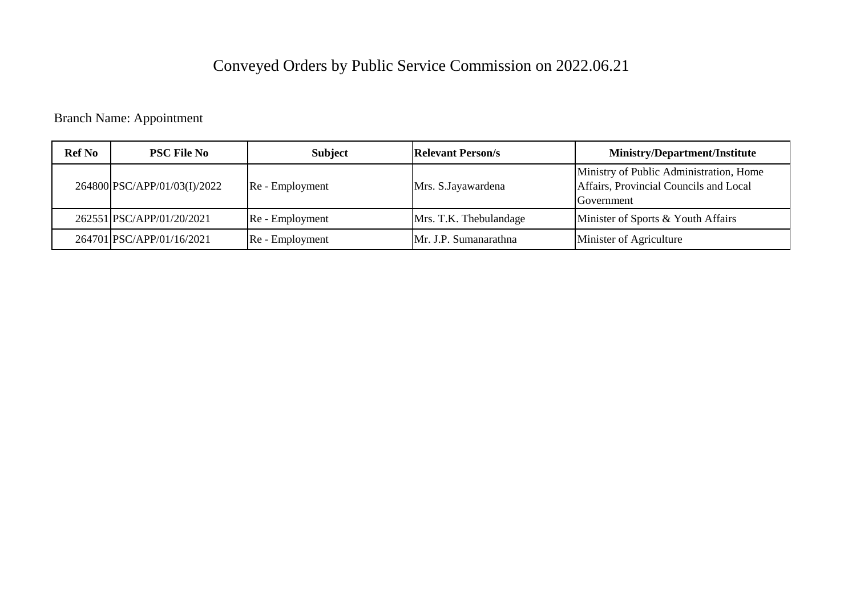Branch Name: Appointment

| <b>Ref No</b> | <b>PSC File No</b>           | <b>Subject</b>  | <b>Relevant Person/s</b> | <b>Ministry/Department/Institute</b>                                                            |
|---------------|------------------------------|-----------------|--------------------------|-------------------------------------------------------------------------------------------------|
|               | 264800 PSC/APP/01/03(I)/2022 | Re - Employment | Mrs. S. Jayawardena      | Ministry of Public Administration, Home<br>Affairs, Provincial Councils and Local<br>Government |
|               | 262551 PSC/APP/01/20/2021    | Re - Employment | Mrs. T.K. Thebulandage   | Minister of Sports & Youth Affairs                                                              |
|               | 264701 PSC/APP/01/16/2021    | Re - Employment | Mr. J.P. Sumanarathna    | Minister of Agriculture                                                                         |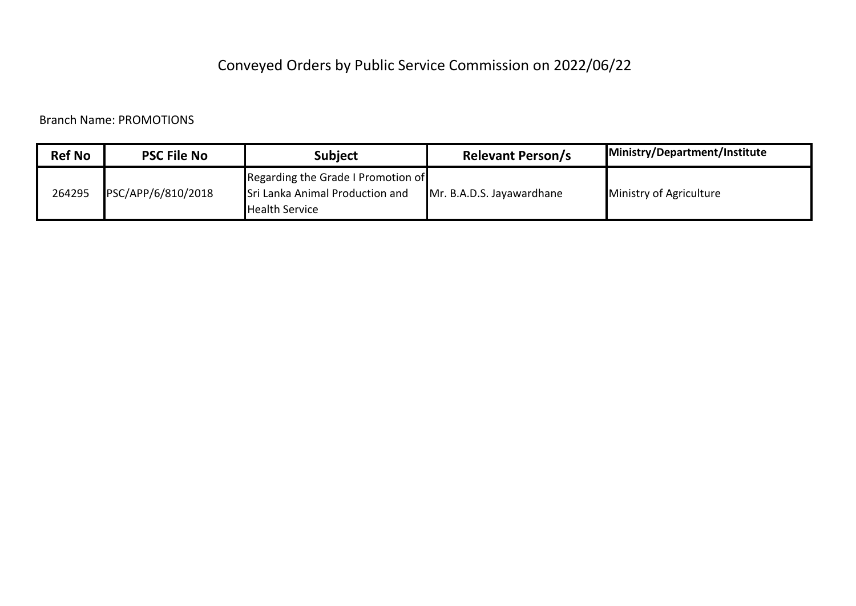| <b>Ref No</b> | <b>PSC File No</b> | Subiect                                                                                        | <b>Relevant Person/s</b>  | Ministry/Department/Institute |
|---------------|--------------------|------------------------------------------------------------------------------------------------|---------------------------|-------------------------------|
| 264295        | PSC/APP/6/810/2018 | Regarding the Grade I Promotion of<br>Sri Lanka Animal Production and<br><b>Health Service</b> | Mr. B.A.D.S. Jayawardhane | Ministry of Agriculture       |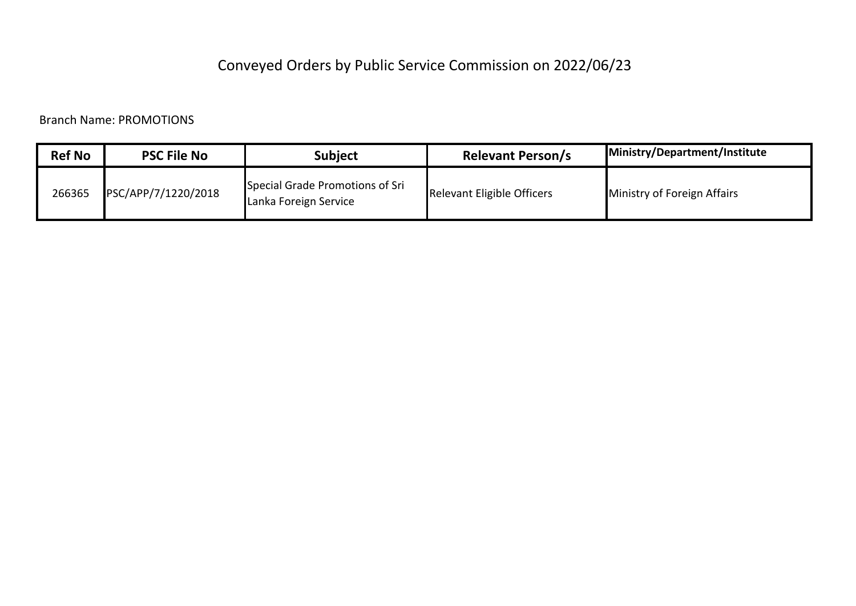| <b>Ref No</b> | <b>PSC File No</b>  | <b>Subject</b>                                           | <b>Relevant Person/s</b>   | Ministry/Department/Institute |
|---------------|---------------------|----------------------------------------------------------|----------------------------|-------------------------------|
| 266365        | PSC/APP/7/1220/2018 | Special Grade Promotions of Sri<br>Lanka Foreign Service | Relevant Eligible Officers | Ministry of Foreign Affairs   |